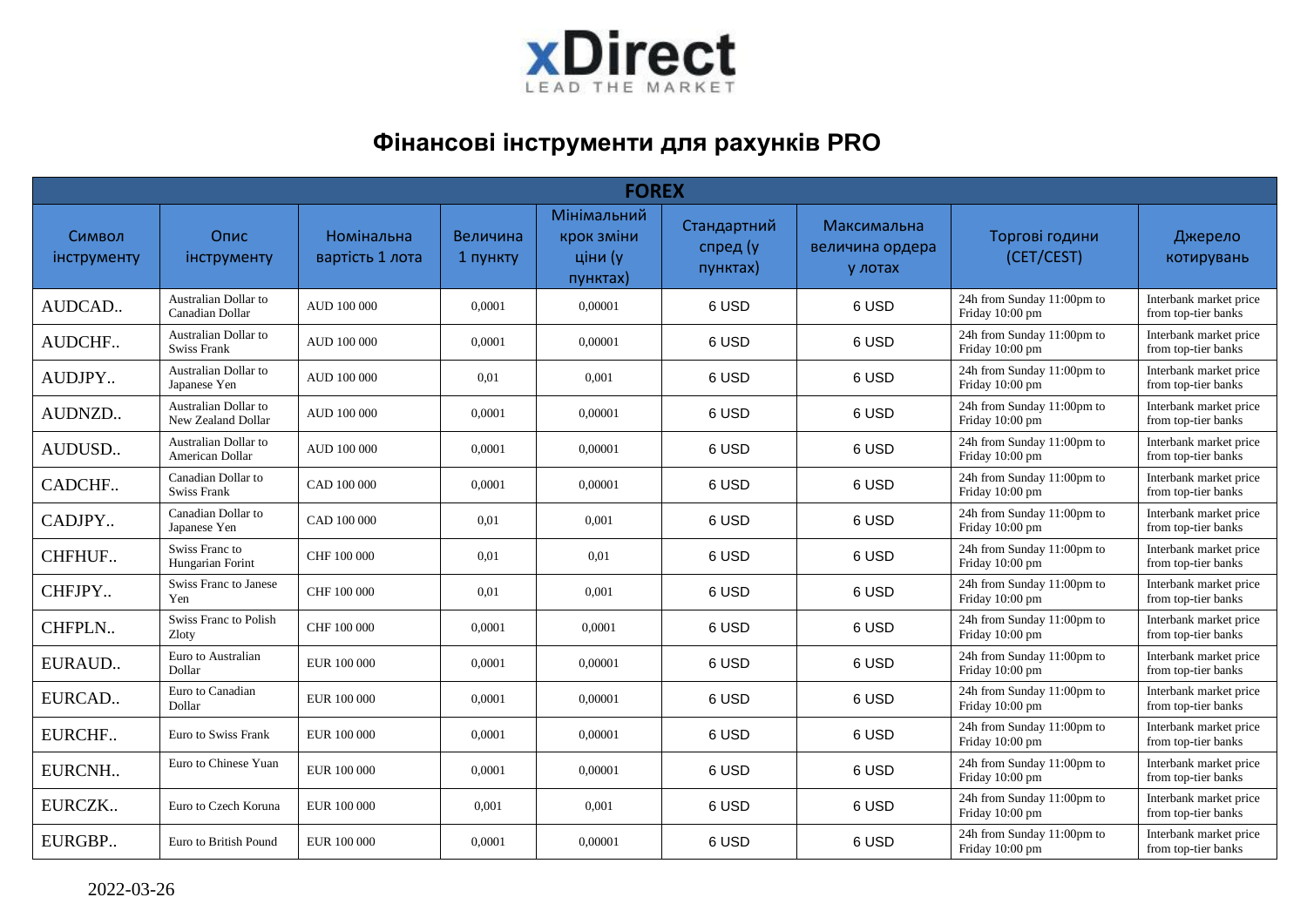

## **Фінансові інструменти для рахунків PRO**

| <b>FOREX</b>          |                                            |                               |                      |                                                  |                                     |                                           |                                               |                                               |  |  |  |
|-----------------------|--------------------------------------------|-------------------------------|----------------------|--------------------------------------------------|-------------------------------------|-------------------------------------------|-----------------------------------------------|-----------------------------------------------|--|--|--|
| Символ<br>інструменту | Опис<br>інструменту                        | Номінальна<br>вартість 1 лота | Величина<br>1 пункту | Мінімальний<br>крок зміни<br>ціни (у<br>пунктах) | Стандартний<br>спред (у<br>пунктах) | Максимальна<br>величина ордера<br>у лотах | Торгові години<br>(CET/CEST)                  | Джерело<br>котирувань                         |  |  |  |
| AUDCAD                | Australian Dollar to<br>Canadian Dollar    | <b>AUD 100 000</b>            | 0,0001               | 0,00001                                          | 6 USD                               | 6 USD                                     | 24h from Sunday 11:00pm to<br>Friday 10:00 pm | Interbank market price<br>from top-tier banks |  |  |  |
| AUDCHF                | Australian Dollar to<br>Swiss Frank        | AUD 100 000                   | 0,0001               | 0,00001                                          | 6 USD                               | 6 USD                                     | 24h from Sunday 11:00pm to<br>Friday 10:00 pm | Interbank market price<br>from top-tier banks |  |  |  |
| AUDJPY                | Australian Dollar to<br>Japanese Yen       | AUD 100 000                   | 0,01                 | 0,001                                            | 6 USD                               | 6 USD                                     | 24h from Sunday 11:00pm to<br>Friday 10:00 pm | Interbank market price<br>from top-tier banks |  |  |  |
| AUDNZD                | Australian Dollar to<br>New Zealand Dollar | <b>AUD 100 000</b>            | 0.0001               | 0.00001                                          | 6 USD                               | 6 USD                                     | 24h from Sunday 11:00pm to<br>Friday 10:00 pm | Interbank market price<br>from top-tier banks |  |  |  |
| AUDUSD                | Australian Dollar to<br>American Dollar    | <b>AUD 100 000</b>            | 0,0001               | 0.00001                                          | 6 USD                               | 6 USD                                     | 24h from Sunday 11:00pm to<br>Friday 10:00 pm | Interbank market price<br>from top-tier banks |  |  |  |
| CADCHF                | Canadian Dollar to<br><b>Swiss Frank</b>   | CAD 100 000                   | 0,0001               | 0.00001                                          | 6 USD                               | 6 USD                                     | 24h from Sunday 11:00pm to<br>Friday 10:00 pm | Interbank market price<br>from top-tier banks |  |  |  |
| CADJPY                | Canadian Dollar to<br>Japanese Yen         | CAD 100 000                   | 0.01                 | 0,001                                            | 6 USD                               | 6 USD                                     | 24h from Sunday 11:00pm to<br>Friday 10:00 pm | Interbank market price<br>from top-tier banks |  |  |  |
| CHFHUF                | Swiss Franc to<br>Hungarian Forint         | CHF 100 000                   | 0,01                 | 0,01                                             | 6 USD                               | 6 USD                                     | 24h from Sunday 11:00pm to<br>Friday 10:00 pm | Interbank market price<br>from top-tier banks |  |  |  |
| CHFJPY                | Swiss Franc to Janese<br>Yen               | CHF 100 000                   | 0,01                 | 0,001                                            | 6 USD                               | 6 USD                                     | 24h from Sunday 11:00pm to<br>Friday 10:00 pm | Interbank market price<br>from top-tier banks |  |  |  |
| CHFPLN                | Swiss Franc to Polish<br>Zloty             | CHF 100 000                   | 0,0001               | 0,0001                                           | 6 USD                               | 6 USD                                     | 24h from Sunday 11:00pm to<br>Friday 10:00 pm | Interbank market price<br>from top-tier banks |  |  |  |
| EURAUD                | Euro to Australian<br>Dollar               | EUR 100 000                   | 0,0001               | 0,00001                                          | 6 USD                               | 6 USD                                     | 24h from Sunday 11:00pm to<br>Friday 10:00 pm | Interbank market price<br>from top-tier banks |  |  |  |
| EURCAD                | Euro to Canadian<br>Dollar                 | EUR 100 000                   | 0,0001               | 0,00001                                          | 6 USD                               | 6 USD                                     | 24h from Sunday 11:00pm to<br>Friday 10:00 pm | Interbank market price<br>from top-tier banks |  |  |  |
| EURCHF                | Euro to Swiss Frank                        | EUR 100 000                   | 0,0001               | 0,00001                                          | 6 USD                               | 6 USD                                     | 24h from Sunday 11:00pm to<br>Friday 10:00 pm | Interbank market price<br>from top-tier banks |  |  |  |
| EURCNH                | Euro to Chinese Yuan                       | EUR 100 000                   | 0,0001               | 0.00001                                          | 6 USD                               | 6 USD                                     | 24h from Sunday 11:00pm to<br>Friday 10:00 pm | Interbank market price<br>from top-tier banks |  |  |  |
| EURCZK                | Euro to Czech Koruna                       | EUR 100 000                   | 0,001                | 0,001                                            | 6 USD                               | 6 USD                                     | 24h from Sunday 11:00pm to<br>Friday 10:00 pm | Interbank market price<br>from top-tier banks |  |  |  |
| EURGBP                | Euro to British Pound                      | EUR 100 000                   | 0,0001               | 0,00001                                          | 6 USD                               | 6 USD                                     | 24h from Sunday 11:00pm to<br>Friday 10:00 pm | Interbank market price<br>from top-tier banks |  |  |  |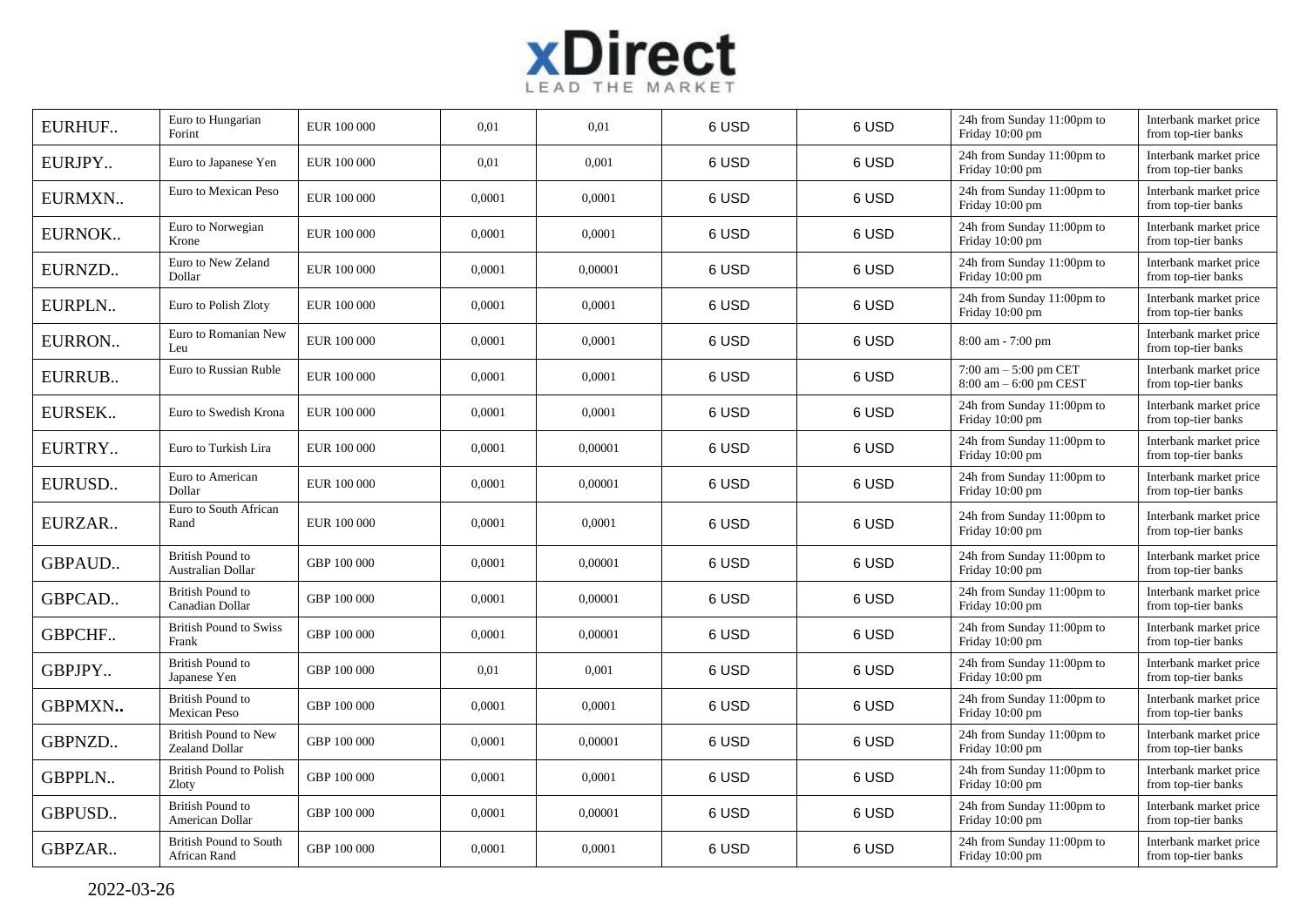

| EURHUF        | Euro to Hungarian<br>Forint                   | EUR 100 000 | 0,01   | 0,01    | 6 USD | 6 USD | 24h from Sunday 11:00pm to<br>Friday 10:00 pm      | Interbank market price<br>from top-tier banks |
|---------------|-----------------------------------------------|-------------|--------|---------|-------|-------|----------------------------------------------------|-----------------------------------------------|
| EURJPY        | Euro to Japanese Yen                          | EUR 100 000 | 0,01   | 0,001   | 6 USD | 6 USD | 24h from Sunday 11:00pm to<br>Friday 10:00 pm      | Interbank market price<br>from top-tier banks |
| EURMXN        | Euro to Mexican Peso                          | EUR 100 000 | 0,0001 | 0,0001  | 6 USD | 6 USD | 24h from Sunday 11:00pm to<br>Friday 10:00 pm      | Interbank market price<br>from top-tier banks |
| EURNOK        | Euro to Norwegian<br>Krone                    | EUR 100 000 | 0,0001 | 0,0001  | 6 USD | 6 USD | 24h from Sunday 11:00pm to<br>Friday 10:00 pm      | Interbank market price<br>from top-tier banks |
| EURNZD        | Euro to New Zeland<br>Dollar                  | EUR 100 000 | 0,0001 | 0,00001 | 6 USD | 6 USD | 24h from Sunday 11:00pm to<br>Friday 10:00 pm      | Interbank market price<br>from top-tier banks |
| EURPLN        | Euro to Polish Zloty                          | EUR 100 000 | 0,0001 | 0,0001  | 6 USD | 6 USD | 24h from Sunday 11:00pm to<br>Friday 10:00 pm      | Interbank market price<br>from top-tier banks |
| EURRON        | Euro to Romanian New<br>Leu                   | EUR 100 000 | 0,0001 | 0,0001  | 6 USD | 6 USD | $8:00$ am - 7:00 pm                                | Interbank market price<br>from top-tier banks |
| EURRUB        | Euro to Russian Ruble                         | EUR 100 000 | 0,0001 | 0,0001  | 6 USD | 6 USD | $7:00$ am $-5:00$ pm CET<br>8:00 am - 6:00 pm CEST | Interbank market price<br>from top-tier banks |
| EURSEK        | Euro to Swedish Krona                         | EUR 100 000 | 0,0001 | 0,0001  | 6 USD | 6 USD | 24h from Sunday 11:00pm to<br>Friday 10:00 pm      | Interbank market price<br>from top-tier banks |
| EURTRY        | Euro to Turkish Lira                          | EUR 100 000 | 0,0001 | 0,00001 | 6 USD | 6 USD | 24h from Sunday 11:00pm to<br>Friday 10:00 pm      | Interbank market price<br>from top-tier banks |
| EURUSD        | Euro to American<br>Dollar                    | EUR 100 000 | 0,0001 | 0,00001 | 6 USD | 6 USD | 24h from Sunday 11:00pm to<br>Friday 10:00 pm      | Interbank market price<br>from top-tier banks |
| EURZAR        | Euro to South African<br>Rand                 | EUR 100 000 | 0,0001 | 0,0001  | 6 USD | 6 USD | 24h from Sunday 11:00pm to<br>Friday 10:00 pm      | Interbank market price<br>from top-tier banks |
| <b>GBPAUD</b> | <b>British Pound to</b><br>Australian Dollar  | GBP 100 000 | 0,0001 | 0,00001 | 6 USD | 6 USD | 24h from Sunday 11:00pm to<br>Friday 10:00 pm      | Interbank market price<br>from top-tier banks |
| GBPCAD        | <b>British Pound to</b><br>Canadian Dollar    | GBP 100 000 | 0,0001 | 0,00001 | 6 USD | 6 USD | 24h from Sunday 11:00pm to<br>Friday 10:00 pm      | Interbank market price<br>from top-tier banks |
| <b>GBPCHF</b> | <b>British Pound to Swiss</b><br>Frank        | GBP 100 000 | 0,0001 | 0,00001 | 6 USD | 6 USD | 24h from Sunday 11:00pm to<br>Friday 10:00 pm      | Interbank market price<br>from top-tier banks |
| GBPJPY        | <b>British Pound to</b><br>Japanese Yen       | GBP 100 000 | 0.01   | 0,001   | 6 USD | 6 USD | 24h from Sunday 11:00pm to<br>Friday 10:00 pm      | Interbank market price<br>from top-tier banks |
| GBPMXN        | British Pound to<br><b>Mexican Peso</b>       | GBP 100 000 | 0,0001 | 0,0001  | 6 USD | 6 USD | 24h from Sunday 11:00pm to<br>Friday 10:00 pm      | Interbank market price<br>from top-tier banks |
| GBPNZD        | <b>British Pound to New</b><br>Zealand Dollar | GBP 100 000 | 0,0001 | 0,00001 | 6 USD | 6 USD | 24h from Sunday 11:00pm to<br>Friday 10:00 pm      | Interbank market price<br>from top-tier banks |
| <b>GBPPLN</b> | <b>British Pound to Polish</b><br>Zloty       | GBP 100 000 | 0,0001 | 0,0001  | 6 USD | 6 USD | 24h from Sunday 11:00pm to<br>Friday 10:00 pm      | Interbank market price<br>from top-tier banks |
| GBPUSD        | <b>British Pound to</b><br>American Dollar    | GBP 100 000 | 0,0001 | 0,00001 | 6 USD | 6 USD | 24h from Sunday 11:00pm to<br>Friday 10:00 pm      | Interbank market price<br>from top-tier banks |
| GBPZAR        | <b>British Pound to South</b><br>African Rand | GBP 100 000 | 0,0001 | 0,0001  | 6 USD | 6 USD | 24h from Sunday 11:00pm to<br>Friday 10:00 pm      | Interbank market price<br>from top-tier banks |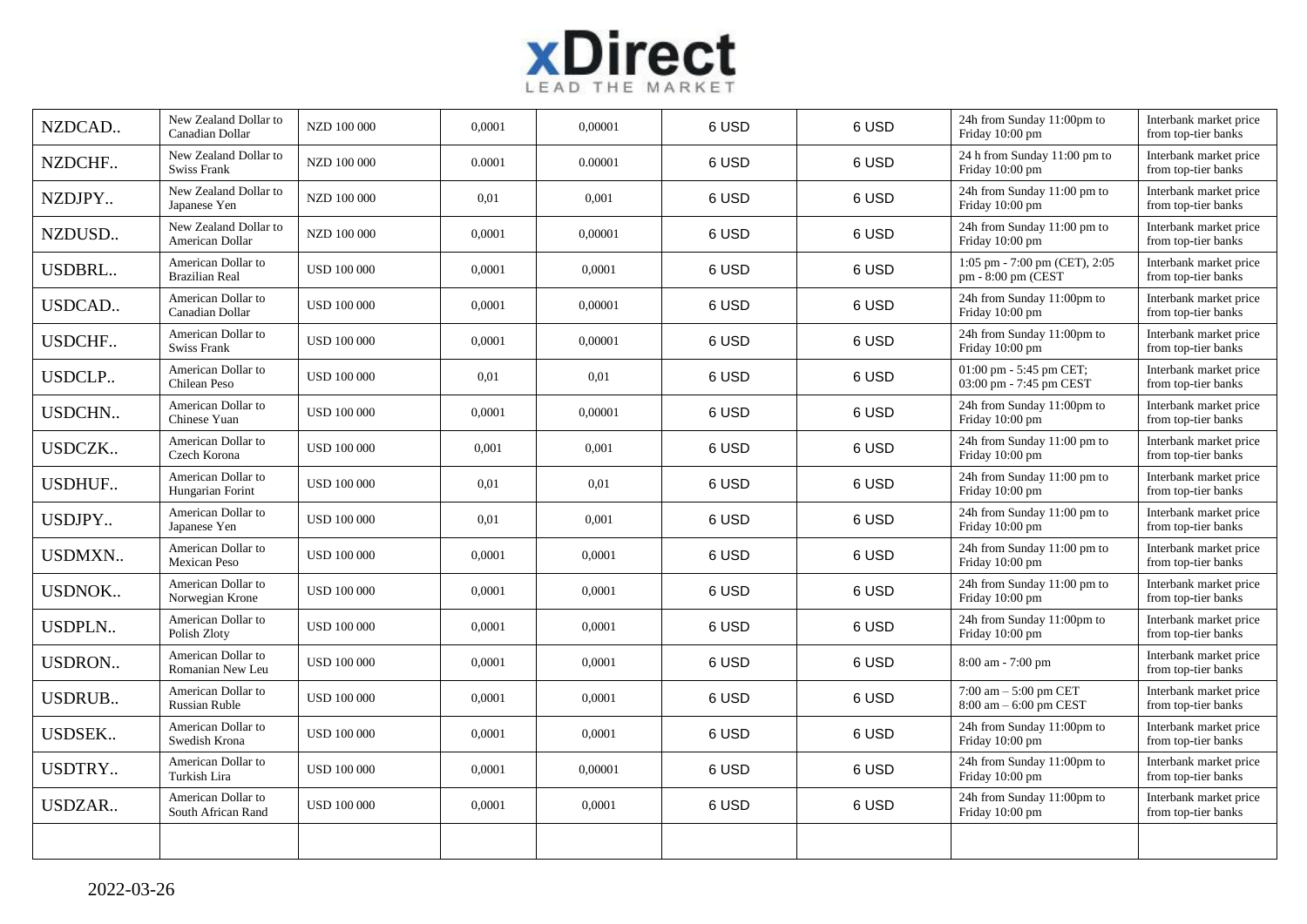

| NZDCAD        | New Zealand Dollar to<br>Canadian Dollar    | NZD 100 000        | 0,0001 | 0,00001 | 6 USD | 6 USD | 24h from Sunday 11:00pm to<br>Friday 10:00 pm         | Interbank market price<br>from top-tier banks |
|---------------|---------------------------------------------|--------------------|--------|---------|-------|-------|-------------------------------------------------------|-----------------------------------------------|
| NZDCHF        | New Zealand Dollar to<br><b>Swiss Frank</b> | NZD 100 000        | 0.0001 | 0.00001 | 6 USD | 6 USD | 24 h from Sunday 11:00 pm to<br>Friday 10:00 pm       | Interbank market price<br>from top-tier banks |
| NZDJPY        | New Zealand Dollar to<br>Japanese Yen       | NZD 100 000        | 0,01   | 0,001   | 6 USD | 6 USD | 24h from Sunday 11:00 pm to<br>Friday 10:00 pm        | Interbank market price<br>from top-tier banks |
| NZDUSD        | New Zealand Dollar to<br>American Dollar    | NZD 100 000        | 0,0001 | 0,00001 | 6 USD | 6 USD | 24h from Sunday 11:00 pm to<br>Friday 10:00 pm        | Interbank market price<br>from top-tier banks |
| <b>USDBRL</b> | American Dollar to<br><b>Brazilian Real</b> | <b>USD 100 000</b> | 0,0001 | 0,0001  | 6 USD | 6 USD | 1:05 pm - 7:00 pm (CET), 2:05<br>pm - 8:00 pm (CEST)  | Interbank market price<br>from top-tier banks |
| <b>USDCAD</b> | American Dollar to<br>Canadian Dollar       | <b>USD 100 000</b> | 0,0001 | 0,00001 | 6 USD | 6 USD | 24h from Sunday 11:00pm to<br>Friday 10:00 pm         | Interbank market price<br>from top-tier banks |
| <b>USDCHF</b> | American Dollar to<br><b>Swiss Frank</b>    | <b>USD 100 000</b> | 0,0001 | 0,00001 | 6 USD | 6 USD | 24h from Sunday 11:00pm to<br>Friday 10:00 pm         | Interbank market price<br>from top-tier banks |
| <b>USDCLP</b> | American Dollar to<br>Chilean Peso          | <b>USD 100 000</b> | 0,01   | 0.01    | 6 USD | 6 USD | 01:00 pm - 5:45 pm CET;<br>03:00 pm - 7:45 pm CEST    | Interbank market price<br>from top-tier banks |
| <b>USDCHN</b> | American Dollar to<br>Chinese Yuan          | <b>USD 100 000</b> | 0,0001 | 0,00001 | 6 USD | 6 USD | 24h from Sunday 11:00pm to<br>Friday 10:00 pm         | Interbank market price<br>from top-tier banks |
| <b>USDCZK</b> | American Dollar to<br>Czech Korona          | <b>USD 100 000</b> | 0,001  | 0,001   | 6 USD | 6 USD | 24h from Sunday 11:00 pm to<br>Friday 10:00 pm        | Interbank market price<br>from top-tier banks |
| <b>USDHUF</b> | American Dollar to<br>Hungarian Forint      | <b>USD 100 000</b> | 0,01   | 0,01    | 6 USD | 6 USD | 24h from Sunday 11:00 pm to<br>Friday 10:00 pm        | Interbank market price<br>from top-tier banks |
| USDJPY        | American Dollar to<br>Japanese Yen          | <b>USD 100 000</b> | 0,01   | 0,001   | 6 USD | 6 USD | 24h from Sunday 11:00 pm to<br>Friday 10:00 pm        | Interbank market price<br>from top-tier banks |
| <b>USDMXN</b> | American Dollar to<br>Mexican Peso          | <b>USD 100 000</b> | 0,0001 | 0,0001  | 6 USD | 6 USD | 24h from Sunday 11:00 pm to<br>Friday 10:00 pm        | Interbank market price<br>from top-tier banks |
| <b>USDNOK</b> | American Dollar to<br>Norwegian Krone       | <b>USD 100 000</b> | 0,0001 | 0,0001  | 6 USD | 6 USD | 24h from Sunday 11:00 pm to<br>Friday 10:00 pm        | Interbank market price<br>from top-tier banks |
| <b>USDPLN</b> | American Dollar to<br>Polish Zloty          | <b>USD 100 000</b> | 0,0001 | 0,0001  | 6 USD | 6 USD | 24h from Sunday 11:00pm to<br>Friday 10:00 pm         | Interbank market price<br>from top-tier banks |
| <b>USDRON</b> | American Dollar to<br>Romanian New Leu      | <b>USD 100 000</b> | 0,0001 | 0,0001  | 6 USD | 6 USD | $8:00$ am - 7:00 pm                                   | Interbank market price<br>from top-tier banks |
| <b>USDRUB</b> | American Dollar to<br>Russian Ruble         | <b>USD 100 000</b> | 0,0001 | 0,0001  | 6 USD | 6 USD | $7:00$ am $-5:00$ pm CET<br>$8:00$ am $-6:00$ pm CEST | Interbank market price<br>from top-tier banks |
| <b>USDSEK</b> | American Dollar to<br>Swedish Krona         | <b>USD 100 000</b> | 0,0001 | 0,0001  | 6 USD | 6 USD | 24h from Sunday 11:00pm to<br>Friday 10:00 pm         | Interbank market price<br>from top-tier banks |
| <b>USDTRY</b> | American Dollar to<br>Turkish Lira          | <b>USD 100 000</b> | 0,0001 | 0,00001 | 6 USD | 6 USD | 24h from Sunday 11:00pm to<br>Friday 10:00 pm         | Interbank market price<br>from top-tier banks |
| USDZAR        | American Dollar to<br>South African Rand    | <b>USD 100 000</b> | 0,0001 | 0,0001  | 6 USD | 6 USD | 24h from Sunday 11:00pm to<br>Friday 10:00 pm         | Interbank market price<br>from top-tier banks |
|               |                                             |                    |        |         |       |       |                                                       |                                               |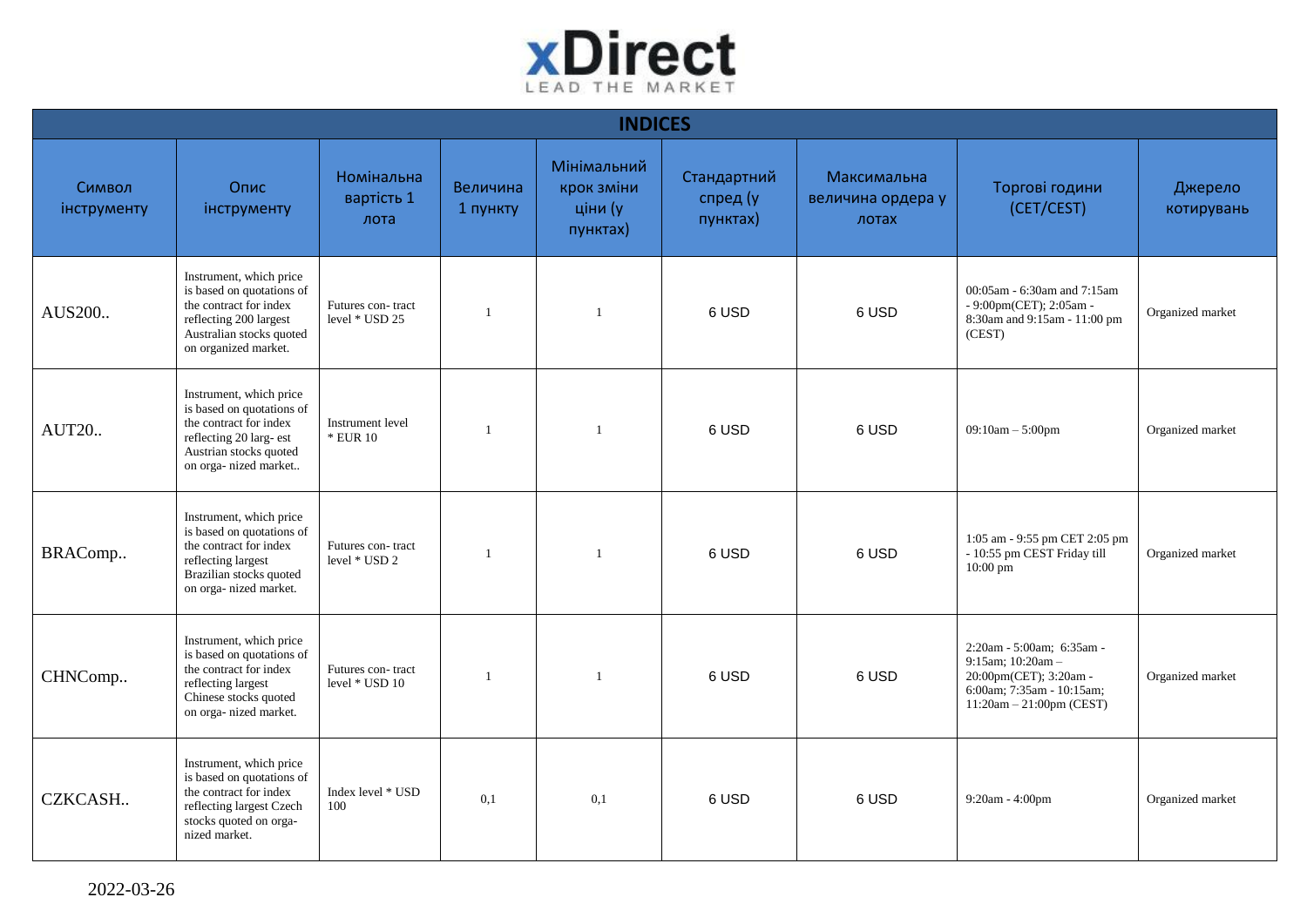

| <b>INDICES</b>        |                                                                                                                                                              |                                     |                      |                                                  |                                     |                                           |                                                                                                                                     |                       |  |  |  |
|-----------------------|--------------------------------------------------------------------------------------------------------------------------------------------------------------|-------------------------------------|----------------------|--------------------------------------------------|-------------------------------------|-------------------------------------------|-------------------------------------------------------------------------------------------------------------------------------------|-----------------------|--|--|--|
| Символ<br>інструменту | Опис<br>інструменту                                                                                                                                          | Номінальна<br>вартість 1<br>лота    | Величина<br>1 пункту | Мінімальний<br>крок зміни<br>ціни (у<br>пунктах) | Стандартний<br>спред (у<br>пунктах) | Максимальна<br>величина ордера у<br>лотах | Торгові години<br>(CET/CEST)                                                                                                        | Джерело<br>котирувань |  |  |  |
| AUS200                | Instrument, which price<br>is based on quotations of<br>the contract for index<br>reflecting 200 largest<br>Australian stocks quoted<br>on organized market. | Futures con-tract<br>level * USD 25 | $\mathbf{1}$         | $\mathbf{1}$                                     | 6 USD                               | 6 USD                                     | 00:05am - 6:30am and 7:15am<br>- 9:00pm(CET); 2:05am -<br>8:30am and 9:15am - 11:00 pm<br>(CEST)                                    | Organized market      |  |  |  |
| <b>AUT20</b>          | Instrument, which price<br>is based on quotations of<br>the contract for index<br>reflecting 20 larg- est<br>Austrian stocks quoted<br>on orga- nized market | Instrument level<br>* EUR 10        | $\mathbf{1}$         | $\mathbf{1}$                                     | 6 USD                               | 6 USD                                     | $09:10am - 5:00pm$                                                                                                                  | Organized market      |  |  |  |
| BRAComp               | Instrument, which price<br>is based on quotations of<br>the contract for index<br>reflecting largest<br>Brazilian stocks quoted<br>on orga- nized market.    | Futures con-tract<br>level * USD 2  |                      | $\mathbf{1}$                                     | 6 USD                               | 6 USD                                     | 1:05 am - 9:55 pm CET 2:05 pm<br>- 10:55 pm CEST Friday till<br>10:00 pm                                                            | Organized market      |  |  |  |
| CHNComp               | Instrument, which price<br>is based on quotations of<br>the contract for index<br>reflecting largest<br>Chinese stocks quoted<br>on orga- nized market.      | Futures con-tract<br>level * USD 10 | -1                   | $\overline{1}$                                   | 6 USD                               | 6 USD                                     | 2:20am - 5:00am; 6:35am -<br>9:15am; 10:20am -<br>20:00pm(CET); 3:20am -<br>6:00am; 7:35am - 10:15am;<br>$11:20am - 21:00pm$ (CEST) | Organized market      |  |  |  |
| CZKCASH               | Instrument, which price<br>is based on quotations of<br>the contract for index<br>reflecting largest Czech<br>stocks quoted on orga-<br>nized market.        | Index level * USD<br>100            | 0.1                  | 0,1                                              | 6 USD                               | 6 USD                                     | 9:20am - 4:00pm                                                                                                                     | Organized market      |  |  |  |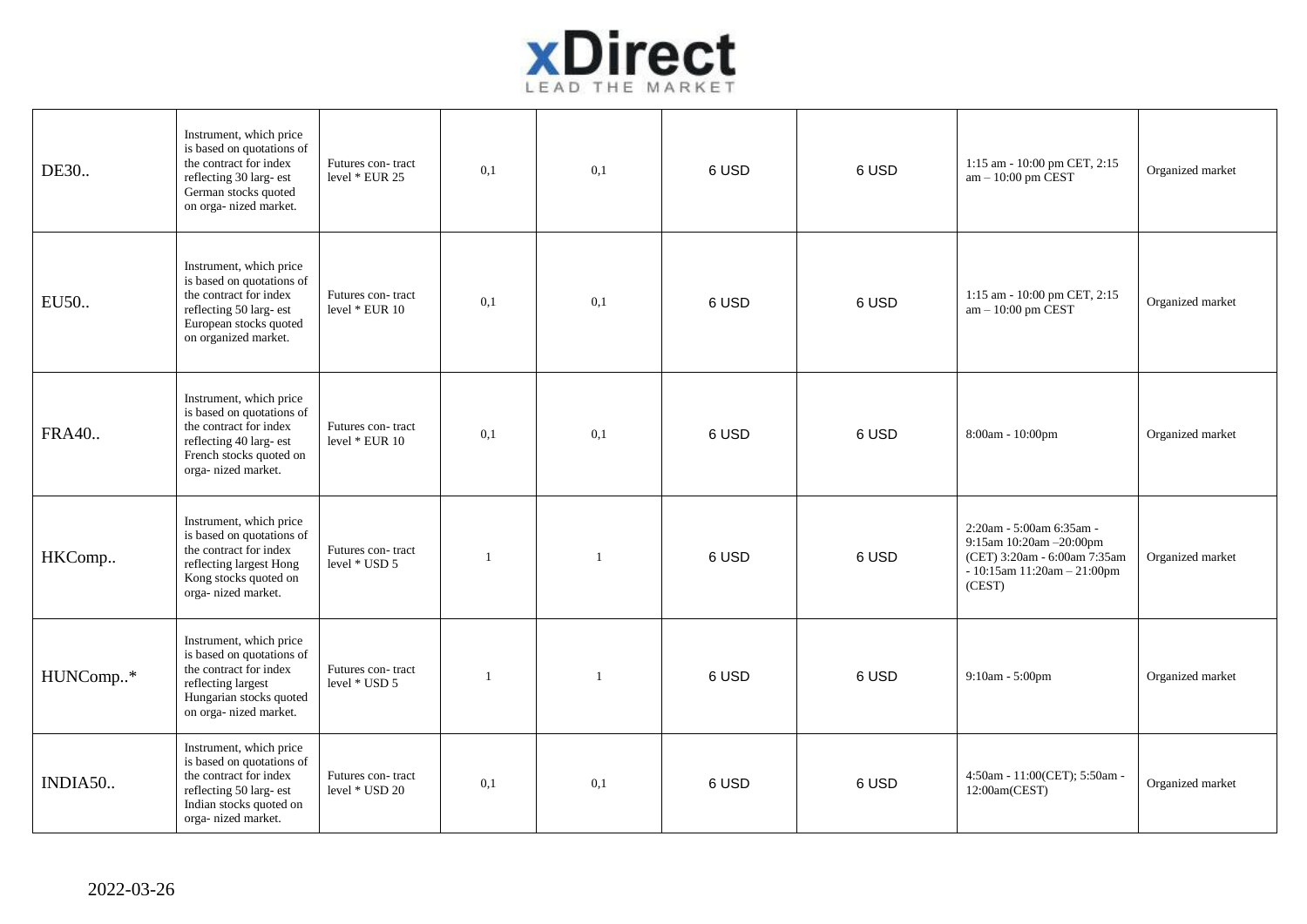

| DE30         | Instrument, which price<br>is based on quotations of<br>the contract for index<br>reflecting 30 larg- est<br>German stocks quoted<br>on orga- nized market. | Futures con-tract<br>level * EUR 25 | 0,1          | 0.1          | 6 USD | 6 USD | 1:15 am - 10:00 pm CET, 2:15<br>$am - 10:00$ pm CEST                                                                                 | Organized market |
|--------------|-------------------------------------------------------------------------------------------------------------------------------------------------------------|-------------------------------------|--------------|--------------|-------|-------|--------------------------------------------------------------------------------------------------------------------------------------|------------------|
| EU50         | Instrument, which price<br>is based on quotations of<br>the contract for index<br>reflecting 50 larg- est<br>European stocks quoted<br>on organized market. | Futures con-tract<br>level * EUR 10 | 0,1          | 0,1          | 6 USD | 6 USD | 1:15 am - 10:00 pm CET, 2:15<br>$am - 10:00$ pm $\text{CEST}$                                                                        | Organized market |
| <b>FRA40</b> | Instrument, which price<br>is based on quotations of<br>the contract for index<br>reflecting 40 larg- est<br>French stocks quoted on<br>orga- nized market. | Futures con-tract<br>level * EUR 10 | 0,1          | 0,1          | 6 USD | 6 USD | 8:00am - 10:00pm                                                                                                                     | Organized market |
| HKComp       | Instrument, which price<br>is based on quotations of<br>the contract for index<br>reflecting largest Hong<br>Kong stocks quoted on<br>orga-nized market.    | Futures con-tract<br>level * USD 5  | -1           | $\mathbf{1}$ | 6 USD | 6 USD | 2:20am - 5:00am 6:35am -<br>9:15am 10:20am - 20:00pm<br>(CET) 3:20am - 6:00am 7:35am<br>$-10:15$ am $11:20$ am $-21:00$ pm<br>(CEST) | Organized market |
| HUNComp*     | Instrument, which price<br>is based on quotations of<br>the contract for index<br>reflecting largest<br>Hungarian stocks quoted<br>on orga- nized market.   | Futures con-tract<br>level * USD 5  | $\mathbf{1}$ | $\mathbf{1}$ | 6 USD | 6 USD | 9:10am - 5:00pm                                                                                                                      | Organized market |
| INDIA50      | Instrument, which price<br>is based on quotations of<br>the contract for index<br>reflecting 50 larg- est<br>Indian stocks quoted on<br>orga-nized market.  | Futures con-tract<br>level * USD 20 | 0,1          | 0,1          | 6 USD | 6 USD | 4:50am - 11:00(CET); 5:50am -<br>12:00am(CEST)                                                                                       | Organized market |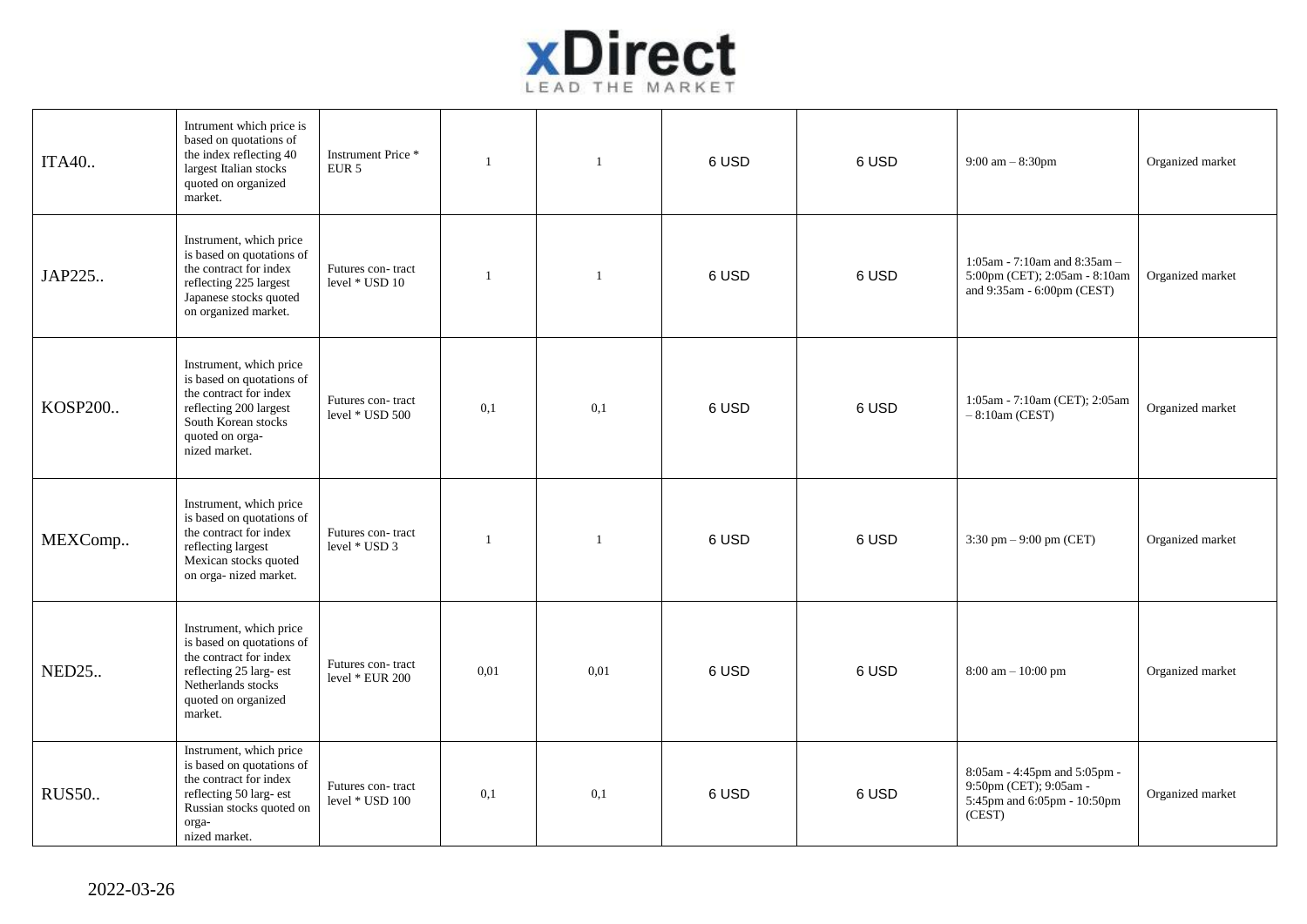

| ITA40        | Intrument which price is<br>based on quotations of<br>the index reflecting 40<br>largest Italian stocks<br>quoted on organized<br>market.                           | Instrument Price*<br>EUR <sub>5</sub> | $\overline{1}$ | $\mathbf{1}$ | 6 USD | 6 USD | 9:00 am $-8:30$ pm                                                                              | Organized market |
|--------------|---------------------------------------------------------------------------------------------------------------------------------------------------------------------|---------------------------------------|----------------|--------------|-------|-------|-------------------------------------------------------------------------------------------------|------------------|
| JAP225       | Instrument, which price<br>is based on quotations of<br>the contract for index<br>reflecting 225 largest<br>Japanese stocks quoted<br>on organized market.          | Futures con-tract<br>level * USD 10   | $\overline{1}$ | -1           | 6 USD | 6 USD | 1:05am - 7:10am and 8:35am -<br>5:00pm (CET); 2:05am - 8:10am<br>and 9:35am - 6:00pm (CEST)     | Organized market |
| KOSP200      | Instrument, which price<br>is based on quotations of<br>the contract for index<br>reflecting 200 largest<br>South Korean stocks<br>quoted on orga-<br>nized market. | Futures con-tract<br>level * USD 500  | 0,1            | 0,1          | 6 USD | 6 USD | 1:05am - 7:10am (CET); 2:05am<br>$-8:10am$ (CEST)                                               | Organized market |
| MEXComp      | Instrument, which price<br>is based on quotations of<br>the contract for index<br>reflecting largest<br>Mexican stocks quoted<br>on orga- nized market.             | Futures con-tract<br>level * USD 3    | $\overline{1}$ | $\mathbf{1}$ | 6 USD | 6 USD | 3:30 pm $-$ 9:00 pm (CET)                                                                       | Organized market |
| <b>NED25</b> | Instrument, which price<br>is based on quotations of<br>the contract for index<br>reflecting 25 larg- est<br>Netherlands stocks<br>quoted on organized<br>market.   | Futures con-tract<br>level * EUR 200  | 0.01           | 0.01         | 6 USD | 6 USD | $8:00$ am $-10:00$ pm                                                                           | Organized market |
| <b>RUS50</b> | Instrument, which price<br>is based on quotations of<br>the contract for index<br>reflecting 50 larg- est<br>Russian stocks quoted on<br>orga-<br>nized market.     | Futures con-tract<br>level * USD 100  | 0,1            | 0,1          | 6 USD | 6 USD | 8:05am - 4:45pm and 5:05pm -<br>9:50pm (CET); 9:05am -<br>5:45pm and 6:05pm - 10:50pm<br>(CEST) | Organized market |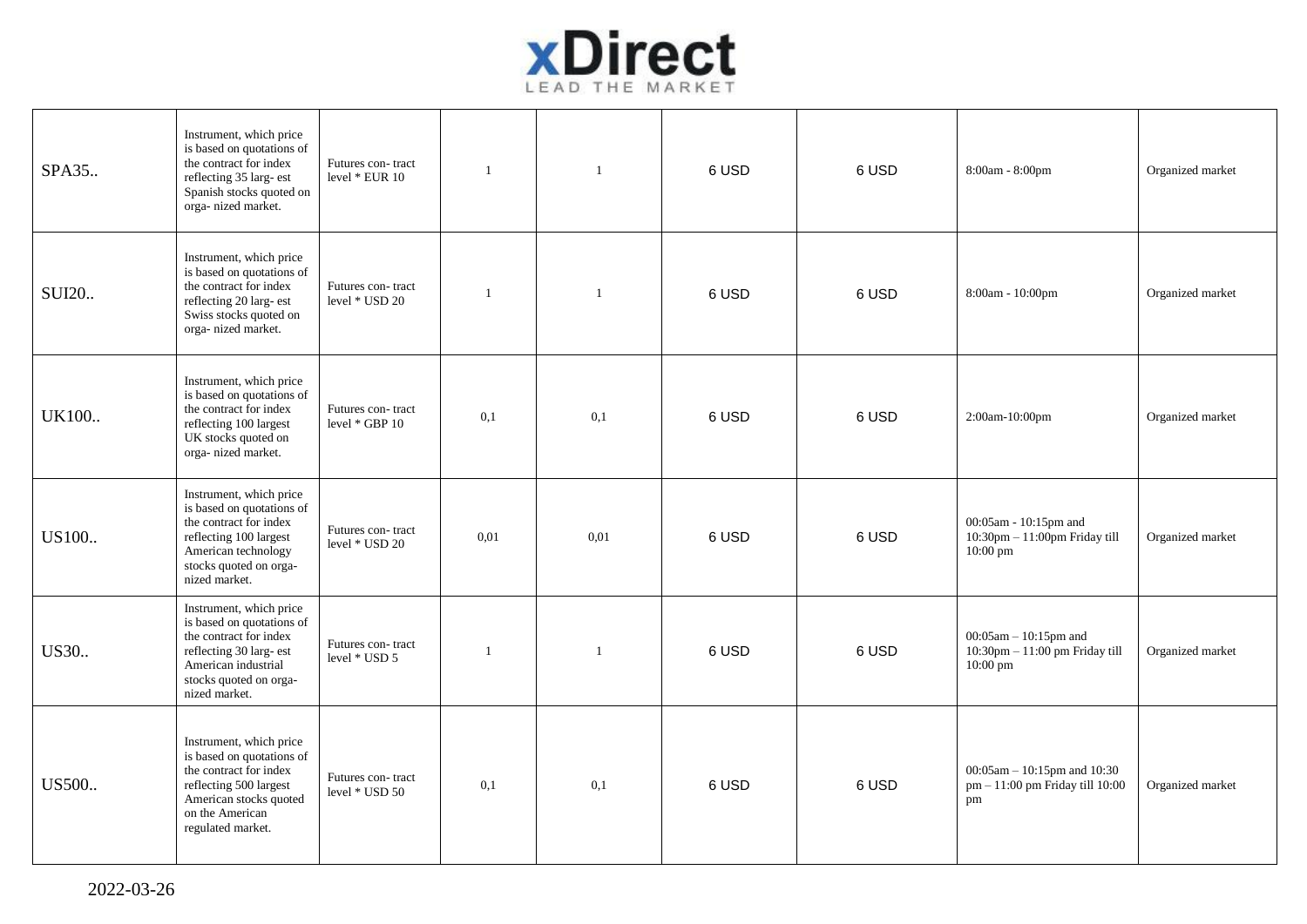

| SPA35        | Instrument, which price<br>is based on quotations of<br>the contract for index<br>reflecting 35 larg- est<br>Spanish stocks quoted on<br>orga- nized market.                | Futures con-tract<br>level * EUR 10 | $\mathbf{1}$ | $\overline{1}$ | 6 USD | 6 USD | 8:00am - 8:00pm                                                                | Organized market |
|--------------|-----------------------------------------------------------------------------------------------------------------------------------------------------------------------------|-------------------------------------|--------------|----------------|-------|-------|--------------------------------------------------------------------------------|------------------|
| <b>SUI20</b> | Instrument, which price<br>is based on quotations of<br>the contract for index<br>reflecting 20 larg- est<br>Swiss stocks quoted on<br>orga-nized market.                   | Futures con-tract<br>level * USD 20 | $\mathbf{1}$ | $\mathbf{1}$   | 6 USD | 6 USD | 8:00am - 10:00pm                                                               | Organized market |
| <b>UK100</b> | Instrument, which price<br>is based on quotations of<br>the contract for index<br>reflecting 100 largest<br>UK stocks quoted on<br>orga- nized market.                      | Futures con-tract<br>level * GBP 10 | 0,1          | 0,1            | 6 USD | 6 USD | 2:00am-10:00pm                                                                 | Organized market |
| US100        | Instrument, which price<br>is based on quotations of<br>the contract for index<br>reflecting 100 largest<br>American technology<br>stocks quoted on orga-<br>nized market.  | Futures con-tract<br>level * USD 20 | 0.01         | 0.01           | 6 USD | 6 USD | 00:05am - 10:15pm and<br>$10:30$ pm $-11:00$ pm Friday till<br>10:00 pm        | Organized market |
| US30         | Instrument, which price<br>is based on quotations of<br>the contract for index<br>reflecting 30 larg- est<br>American industrial<br>stocks quoted on orga-<br>nized market. | Futures con-tract<br>level * USD 5  | 1            | $\overline{1}$ | 6 USD | 6 USD | $00:05$ am $-10:15$ pm and<br>$10:30$ pm $-11:00$ pm Friday till<br>$10:00$ pm | Organized market |
| US500        | Instrument, which price<br>is based on quotations of<br>the contract for index<br>reflecting 500 largest<br>American stocks quoted<br>on the American<br>regulated market.  | Futures con-tract<br>level * USD 50 | 0.1          | 0,1            | 6 USD | 6 USD | $00:05$ am - 10:15pm and 10:30<br>pm - 11:00 pm Friday till 10:00<br>pm        | Organized market |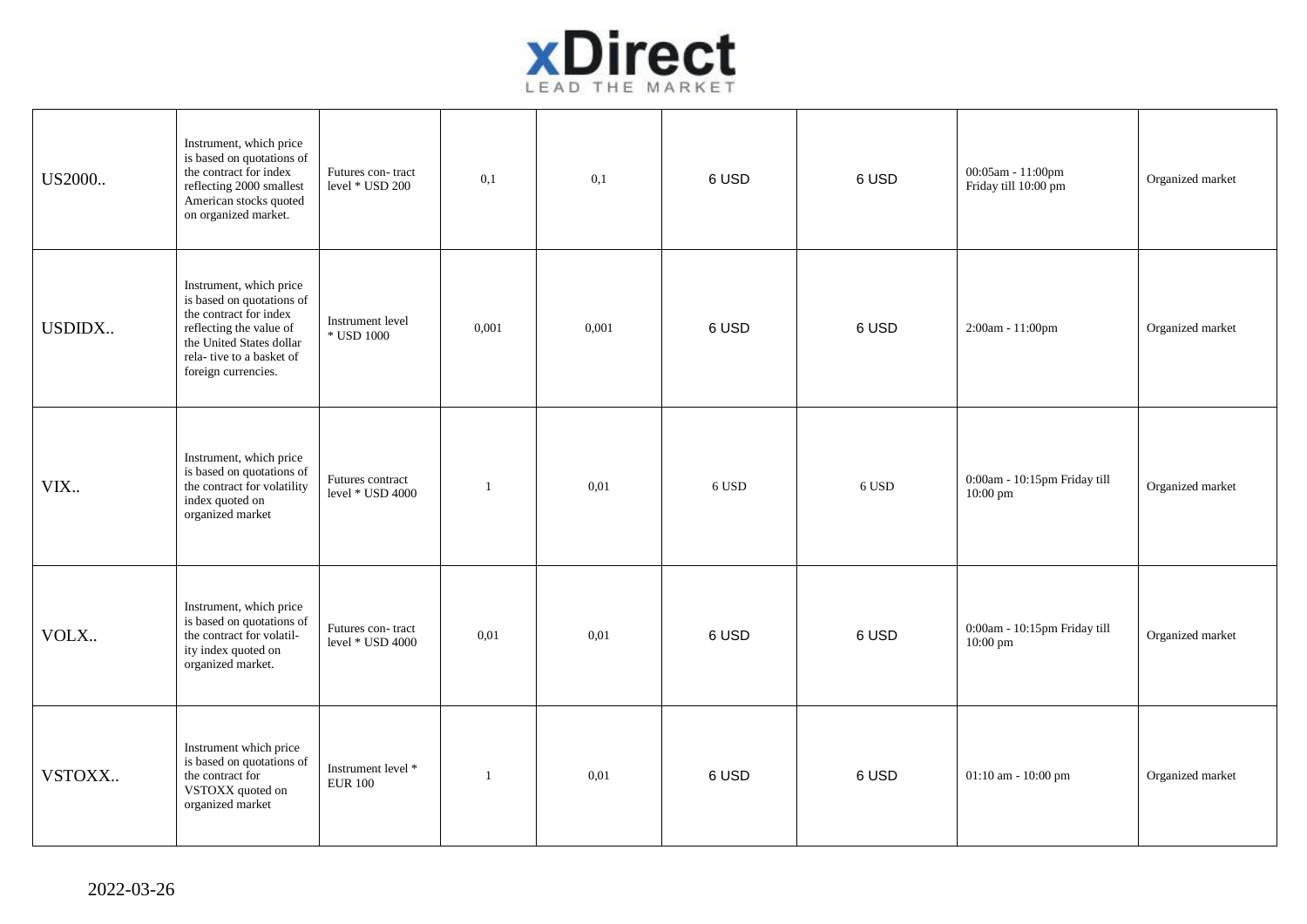

| US2000 | Instrument, which price<br>is based on quotations of<br>the contract for index<br>reflecting 2000 smallest<br>American stocks quoted<br>on organized market.                             | Futures con-tract<br>level * USD 200  | 0,1          | 0,1   | 6 USD | 6 USD | 00:05am - 11:00pm<br>Friday till 10:00 pm  | Organized market |
|--------|------------------------------------------------------------------------------------------------------------------------------------------------------------------------------------------|---------------------------------------|--------------|-------|-------|-------|--------------------------------------------|------------------|
| USDIDX | Instrument, which price<br>is based on quotations of<br>the contract for index<br>reflecting the value of<br>the United States dollar<br>rela-tive to a basket of<br>foreign currencies. | Instrument level<br>* USD 1000        | 0,001        | 0,001 | 6 USD | 6 USD | 2:00am - 11:00pm                           | Organized market |
| VIX.   | Instrument, which price<br>is based on quotations of<br>the contract for volatility<br>index quoted on<br>organized market                                                               | Futures contract<br>level * USD 4000  | $\mathbf{1}$ | 0.01  | 6 USD | 6 USD | 0:00am - 10:15pm Friday till<br>$10:00$ pm | Organized market |
| VOLX   | Instrument, which price<br>is based on quotations of<br>the contract for volatil-<br>ity index quoted on<br>organized market.                                                            | Futures con-tract<br>level * USD 4000 | 0,01         | 0,01  | 6 USD | 6 USD | 0:00am - 10:15pm Friday till<br>$10:00$ pm | Organized market |
| VSTOXX | Instrument which price<br>is based on quotations of<br>the contract for<br>VSTOXX quoted on<br>organized market                                                                          | Instrument level *<br><b>EUR 100</b>  | $\mathbf{1}$ | 0,01  | 6 USD | 6 USD | 01:10 am - 10:00 pm                        | Organized market |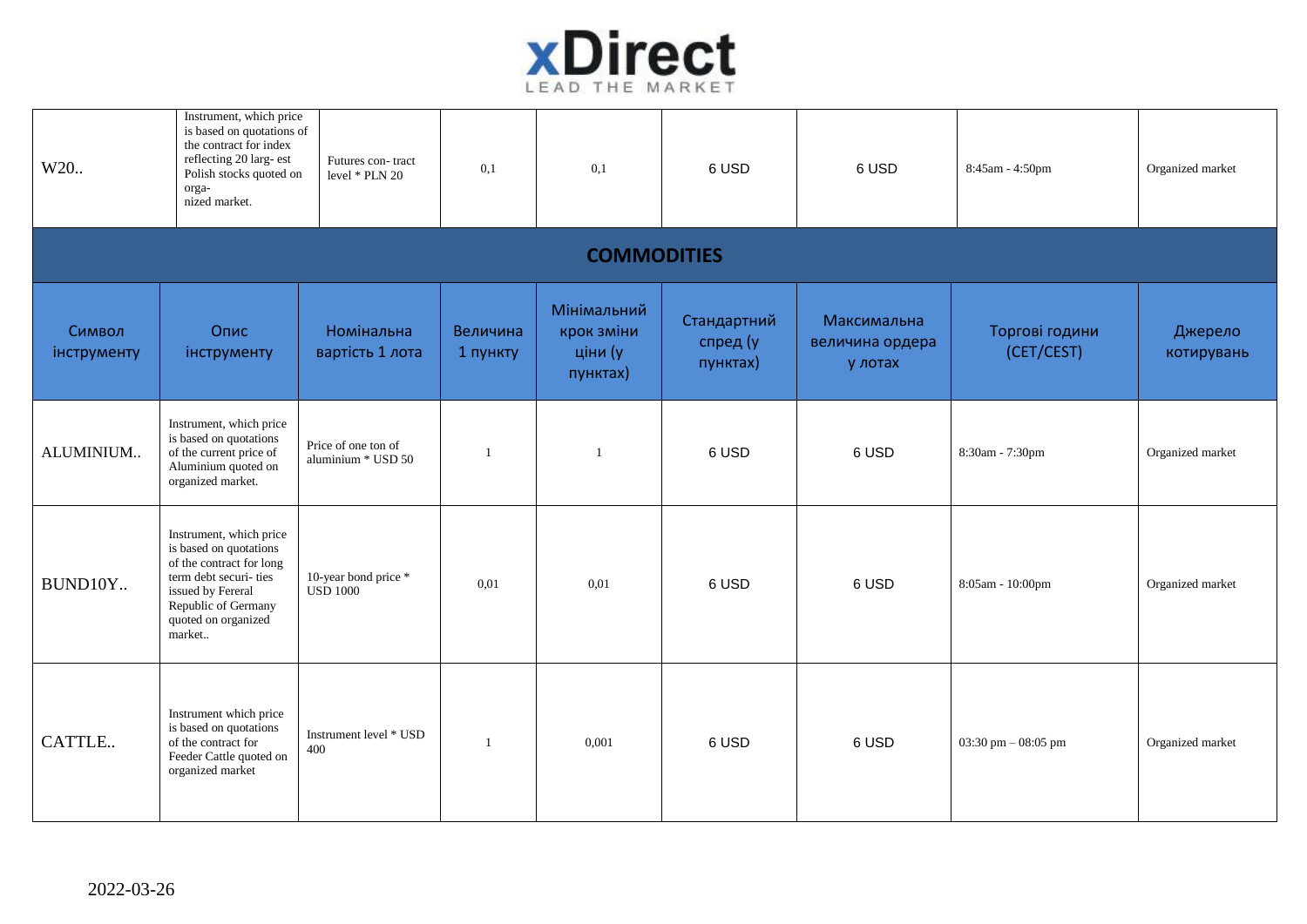

| W20                   | Instrument, which price<br>is based on quotations of<br>the contract for index<br>reflecting 20 larg- est<br>Polish stocks quoted on<br>orga-<br>nized market.                       | Futures con-tract<br>level * PLN 20       | 0,1                  | 0,1                                              | 6 USD                               | 6 USD                                     | 8:45am - 4:50pm              | Organized market      |  |  |  |
|-----------------------|--------------------------------------------------------------------------------------------------------------------------------------------------------------------------------------|-------------------------------------------|----------------------|--------------------------------------------------|-------------------------------------|-------------------------------------------|------------------------------|-----------------------|--|--|--|
| <b>COMMODITIES</b>    |                                                                                                                                                                                      |                                           |                      |                                                  |                                     |                                           |                              |                       |  |  |  |
| Символ<br>інструменту | Опис<br>інструменту                                                                                                                                                                  | Номінальна<br>вартість 1 лота             | Величина<br>1 пункту | Мінімальний<br>крок зміни<br>ціни (у<br>пунктах) | Стандартний<br>спред (у<br>пунктах) | Максимальна<br>величина ордера<br>у лотах | Торгові години<br>(CET/CEST) | Джерело<br>котирувань |  |  |  |
| ALUMINIUM             | Instrument, which price<br>is based on quotations<br>of the current price of<br>Aluminium quoted on<br>organized market.                                                             | Price of one ton of<br>aluminium * USD 50 |                      | $\overline{1}$                                   | 6 USD                               | 6 USD                                     | 8:30am - 7:30pm              | Organized market      |  |  |  |
| BUND10Y               | Instrument, which price<br>is based on quotations<br>of the contract for long<br>term debt securi- ties<br>issued by Fereral<br>Republic of Germany<br>quoted on organized<br>market | 10-year bond price *<br><b>USD 1000</b>   | 0.01                 | 0,01                                             | 6 USD                               | 6 USD                                     | 8:05am - 10:00pm             | Organized market      |  |  |  |
| CATTLE                | Instrument which price<br>is based on quotations<br>of the contract for<br>Feeder Cattle quoted on<br>organized market                                                               | Instrument level * USD<br>400             |                      | 0,001                                            | 6 USD                               | 6 USD                                     | 03:30 pm $-$ 08:05 pm        | Organized market      |  |  |  |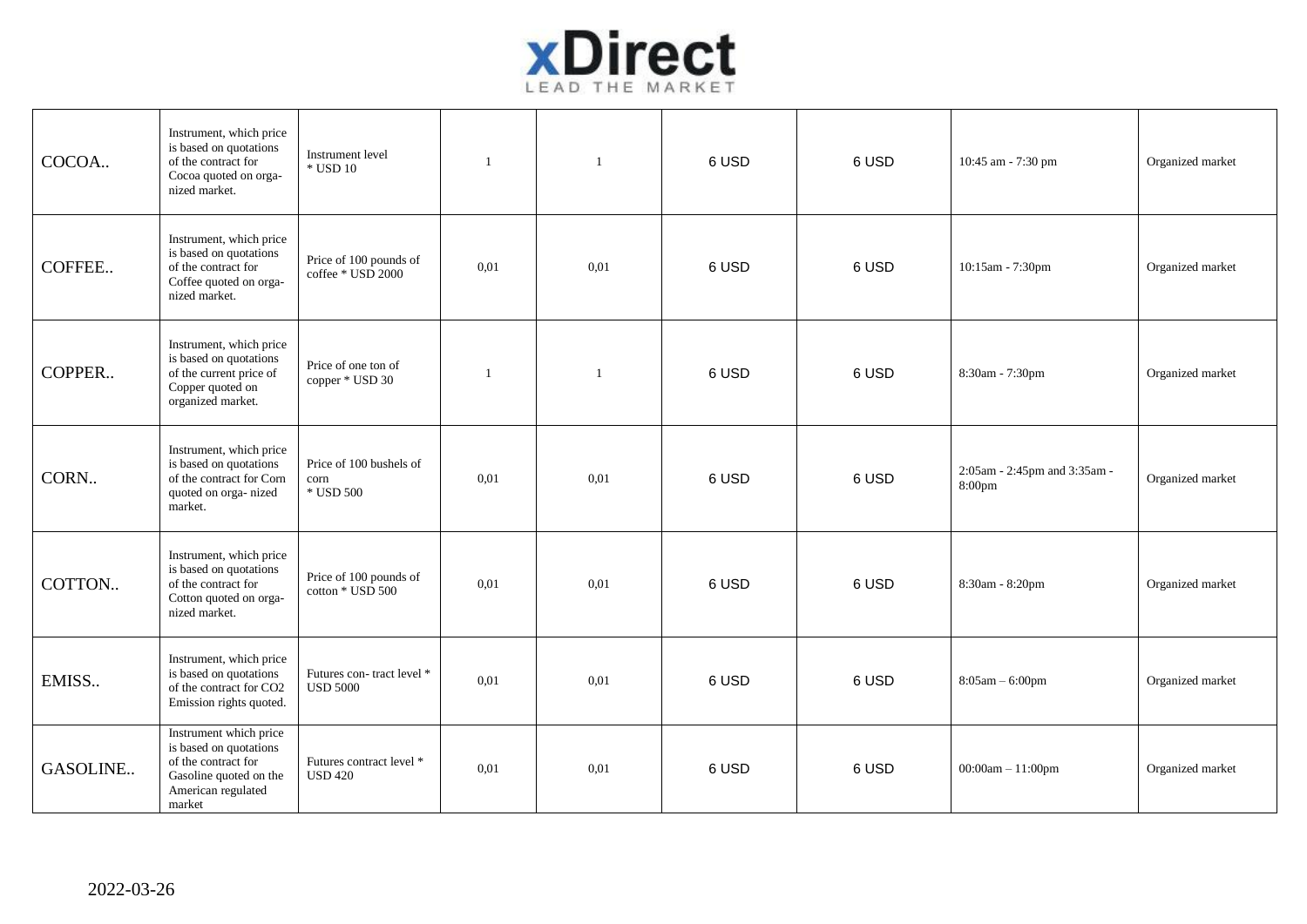

| COCOA    | Instrument, which price<br>is based on quotations<br>of the contract for<br>Cocoa quoted on orga-<br>nized market.                | Instrument level<br>$\,^*$ USD 10            | $\overline{1}$ | $\overline{1}$ | 6 USD | 6 USD | 10:45 am - 7:30 pm                     | Organized market |
|----------|-----------------------------------------------------------------------------------------------------------------------------------|----------------------------------------------|----------------|----------------|-------|-------|----------------------------------------|------------------|
| COFFEE   | Instrument, which price<br>is based on quotations<br>of the contract for<br>Coffee quoted on orga-<br>nized market.               | Price of 100 pounds of<br>coffee * USD 2000  | 0,01           | 0,01           | 6 USD | 6 USD | 10:15am - 7:30pm                       | Organized market |
| COPPER   | Instrument, which price<br>is based on quotations<br>of the current price of<br>Copper quoted on<br>organized market.             | Price of one ton of<br>copper * USD 30       | $\mathbf{1}$   | $\mathbf{1}$   | 6 USD | 6 USD | 8:30am - 7:30pm                        | Organized market |
| CORN     | Instrument, which price<br>is based on quotations<br>of the contract for Corn<br>quoted on orga-nized<br>market.                  | Price of 100 bushels of<br>corn<br>* USD 500 | 0.01           | 0,01           | 6 USD | 6 USD | 2:05am - 2:45pm and 3:35am -<br>8:00pm | Organized market |
| COTTON   | Instrument, which price<br>is based on quotations<br>of the contract for<br>Cotton quoted on orga-<br>nized market.               | Price of 100 pounds of<br>cotton * USD 500   | 0.01           | 0.01           | 6 USD | 6 USD | 8:30am - 8:20pm                        | Organized market |
| EMISS    | Instrument, which price<br>is based on quotations<br>of the contract for CO2<br>Emission rights quoted.                           | Futures con-tract level *<br><b>USD 5000</b> | 0.01           | 0.01           | 6 USD | 6 USD | $8:05am - 6:00pm$                      | Organized market |
| GASOLINE | Instrument which price<br>is based on quotations<br>of the contract for<br>Gasoline quoted on the<br>American regulated<br>market | Futures contract level *<br><b>USD 420</b>   | 0.01           | 0,01           | 6 USD | 6 USD | $00:00am - 11:00pm$                    | Organized market |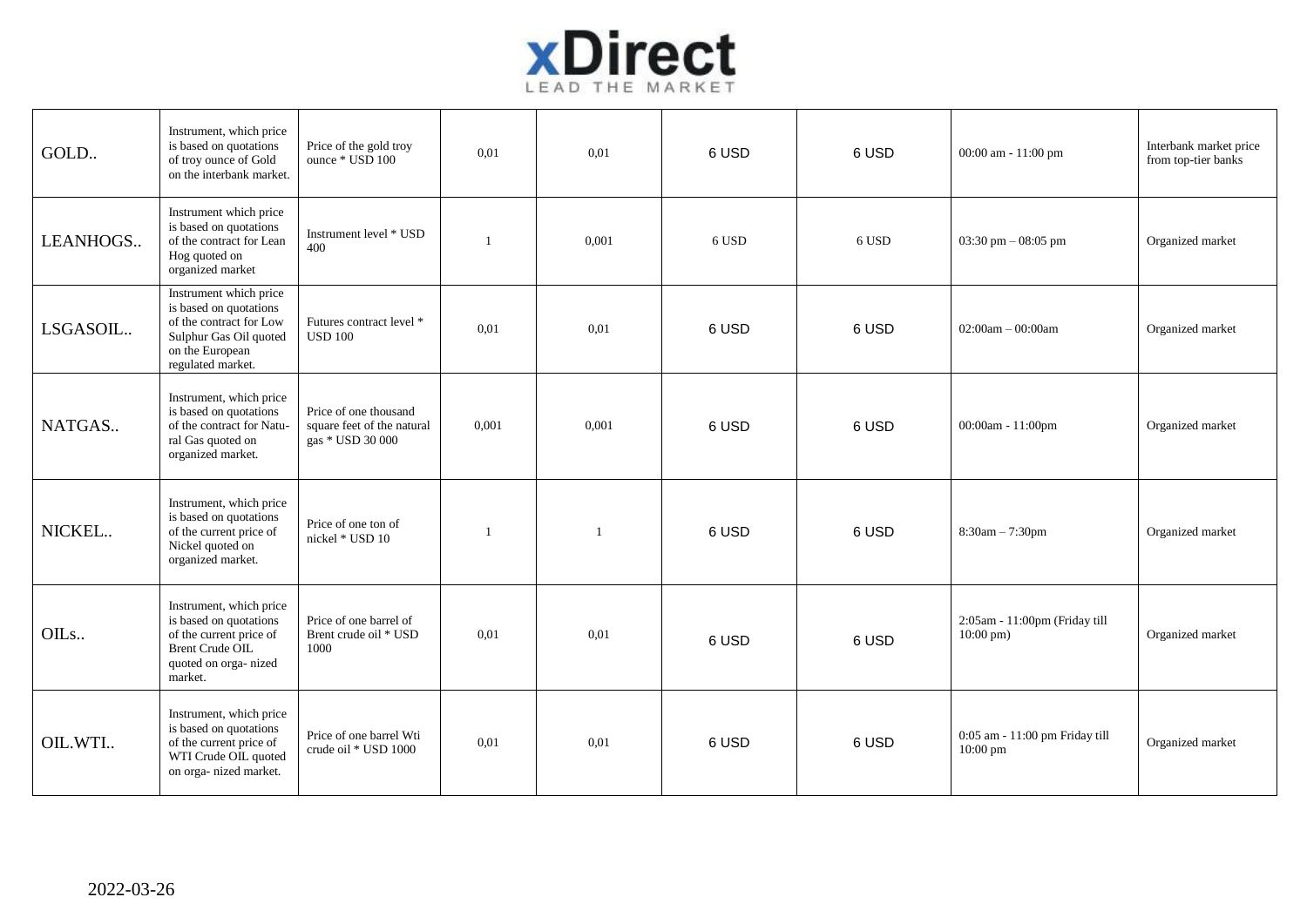

| GOLD     | Instrument, which price<br>is based on quotations<br>of troy ounce of Gold<br>on the interbank market.                                        | Price of the gold troy<br>ounce * USD 100                               | 0,01         | 0,01           | 6 USD | 6 USD | 00:00 am - 11:00 pm                                   | Interbank market price<br>from top-tier banks |
|----------|-----------------------------------------------------------------------------------------------------------------------------------------------|-------------------------------------------------------------------------|--------------|----------------|-------|-------|-------------------------------------------------------|-----------------------------------------------|
| LEANHOGS | Instrument which price<br>is based on quotations<br>of the contract for Lean<br>Hog quoted on<br>organized market                             | Instrument level * USD<br>400                                           | $\mathbf{1}$ | 0,001          | 6 USD | 6 USD | $03:30 \text{ pm} - 08:05 \text{ pm}$                 | Organized market                              |
| LSGASOIL | Instrument which price<br>is based on quotations<br>of the contract for Low<br>Sulphur Gas Oil quoted<br>on the European<br>regulated market. | Futures contract level *<br><b>USD 100</b>                              | 0.01         | 0,01           | 6 USD | 6 USD | $02:00am - 00:00am$                                   | Organized market                              |
| NATGAS   | Instrument, which price<br>is based on quotations<br>of the contract for Natu-<br>ral Gas quoted on<br>organized market.                      | Price of one thousand<br>square feet of the natural<br>gas * USD 30 000 | 0.001        | 0,001          | 6 USD | 6 USD | 00:00am - 11:00pm                                     | Organized market                              |
| NICKEL   | Instrument, which price<br>is based on quotations<br>of the current price of<br>Nickel quoted on<br>organized market.                         | Price of one ton of<br>nickel * USD 10                                  | $\mathbf{1}$ | $\overline{1}$ | 6 USD | 6 USD | $8:30am - 7:30pm$                                     | Organized market                              |
| OILs     | Instrument, which price<br>is based on quotations<br>of the current price of<br><b>Brent Crude OIL</b><br>quoted on orga-nized<br>market.     | Price of one barrel of<br>Brent crude oil * USD<br>1000                 | 0,01         | 0,01           | 6 USD | 6 USD | 2:05am - 11:00pm (Friday till<br>$10:00 \text{ pm}$ ) | Organized market                              |
| OIL.WTI  | Instrument, which price<br>is based on quotations<br>of the current price of<br>WTI Crude OIL quoted<br>on orga- nized market.                | Price of one barrel Wti<br>crude oil * USD 1000                         | 0,01         | 0,01           | 6 USD | 6 USD | 0:05 am - 11:00 pm Friday till<br>10:00 pm            | Organized market                              |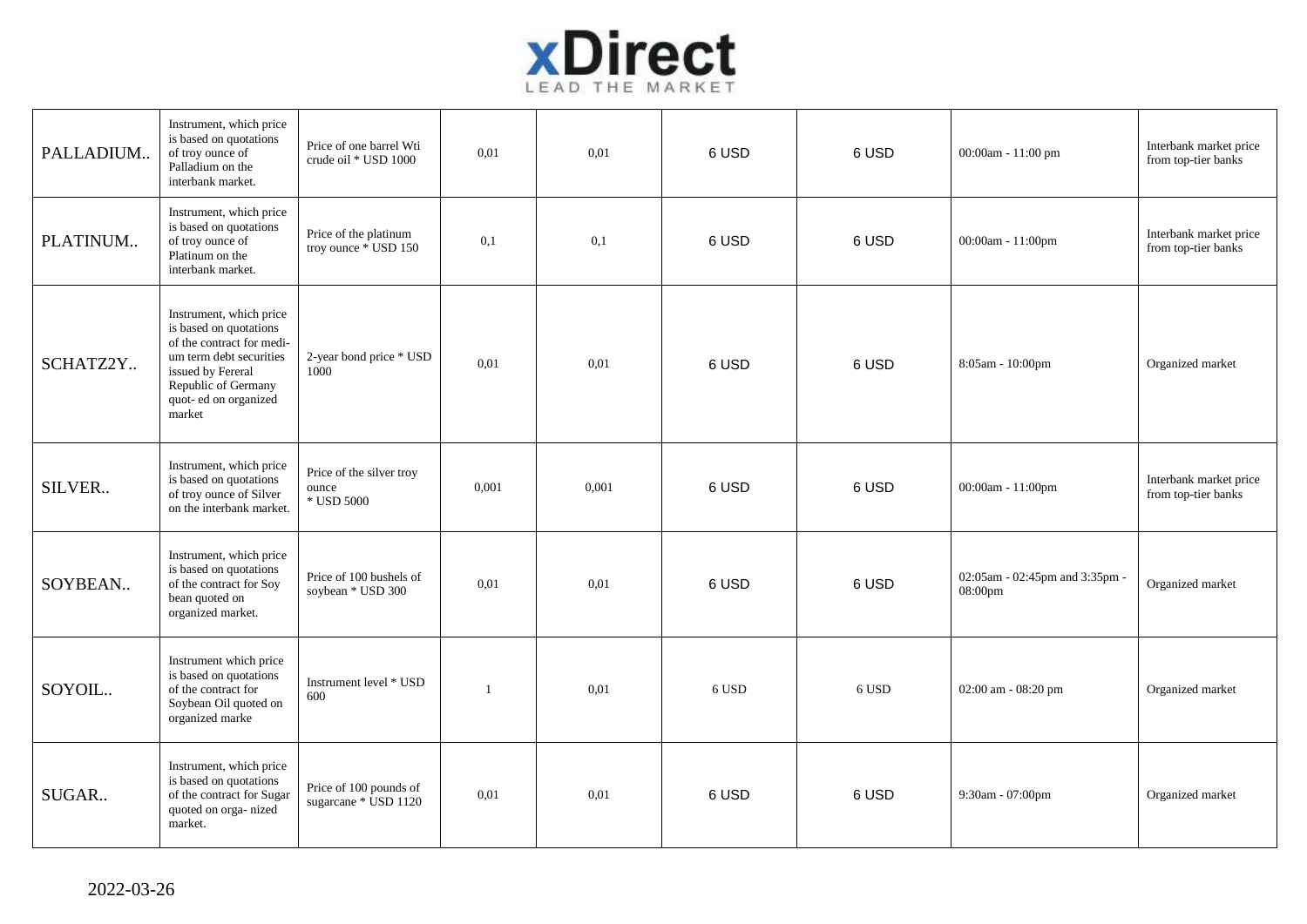

| PALLADIUM | Instrument, which price<br>is based on quotations<br>of troy ounce of<br>Palladium on the<br>interbank market.                                                                           | Price of one barrel Wti<br>crude oil * USD 1000 | 0,01         | 0.01  | 6 USD | 6 USD | 00:00am - 11:00 pm                        | Interbank market price<br>from top-tier banks |
|-----------|------------------------------------------------------------------------------------------------------------------------------------------------------------------------------------------|-------------------------------------------------|--------------|-------|-------|-------|-------------------------------------------|-----------------------------------------------|
| PLATINUM  | Instrument, which price<br>is based on quotations<br>of troy ounce of<br>Platinum on the<br>interbank market.                                                                            | Price of the platinum<br>troy ounce * USD 150   | 0,1          | 0,1   | 6 USD | 6 USD | 00:00am - $11:00$ pm                      | Interbank market price<br>from top-tier banks |
| SCHATZ2Y  | Instrument, which price<br>is based on quotations<br>of the contract for medi-<br>um term debt securities<br>issued by Fereral<br>Republic of Germany<br>quot- ed on organized<br>market | 2-year bond price * USD<br>1000                 | 0.01         | 0,01  | 6 USD | 6 USD | 8:05am - 10:00pm                          | Organized market                              |
| SILVER    | Instrument, which price<br>is based on quotations<br>of troy ounce of Silver<br>on the interbank market.                                                                                 | Price of the silver troy<br>ounce<br>* USD 5000 | 0,001        | 0,001 | 6 USD | 6 USD | 00:00am - 11:00pm                         | Interbank market price<br>from top-tier banks |
| SOYBEAN   | Instrument, which price<br>is based on quotations<br>of the contract for Soy<br>bean quoted on<br>organized market.                                                                      | Price of 100 bushels of<br>soybean * USD 300    | 0.01         | 0,01  | 6 USD | 6 USD | 02:05am - 02:45pm and 3:35pm -<br>08:00pm | Organized market                              |
| SOYOIL    | Instrument which price<br>is based on quotations<br>of the contract for<br>Soybean Oil quoted on<br>organized marke                                                                      | Instrument level * USD<br>600                   | $\mathbf{1}$ | 0.01  | 6 USD | 6 USD | 02:00 am - 08:20 pm                       | Organized market                              |
| SUGAR     | Instrument, which price<br>is based on quotations<br>of the contract for Sugar<br>quoted on orga-nized<br>market.                                                                        | Price of 100 pounds of<br>sugarcane * USD 1120  | 0,01         | 0.01  | 6 USD | 6 USD | 9:30am - 07:00pm                          | Organized market                              |